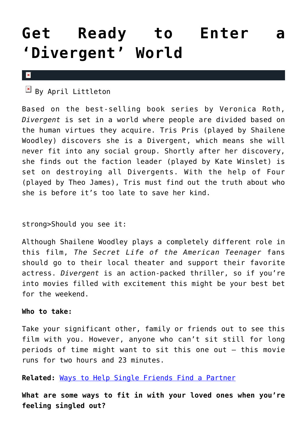# **[Get Ready to Enter a](https://cupidspulse.com/71981/enter-divergent-world/) ['Divergent' World](https://cupidspulse.com/71981/enter-divergent-world/)**

#### $\vert x \vert$

 $\overline{B}$  By April Littleton

Based on the best-selling book series by Veronica Roth, *Divergent* is set in a world where people are divided based on the human virtues they acquire. Tris Pris (played by Shailene Woodley) discovers she is a Divergent, which means she will never fit into any social group. Shortly after her discovery, she finds out the faction leader (played by Kate Winslet) is set on destroying all Divergents. With the help of Four (played by Theo James), Tris must find out the truth about who she is before it's too late to save her kind.

### strong>Should you see it:

Although Shailene Woodley plays a completely different role in this film, *The Secret Life of the American Teenager* fans should go to their local theater and support their favorite actress. *Divergent* is an action-packed thriller, so if you're into movies filled with excitement this might be your best bet for the weekend.

### **Who to take:**

Take your significant other, family or friends out to see this film with you. However, anyone who can't sit still for long periods of time might want to sit this one out – this movie runs for two hours and 23 minutes.

**Related:** [Ways to Help Single Friends Find a Partner](http://cupidspulse.com/ways-single-friends-find-partner/)

**What are some ways to fit in with your loved ones when you're feeling singled out?**